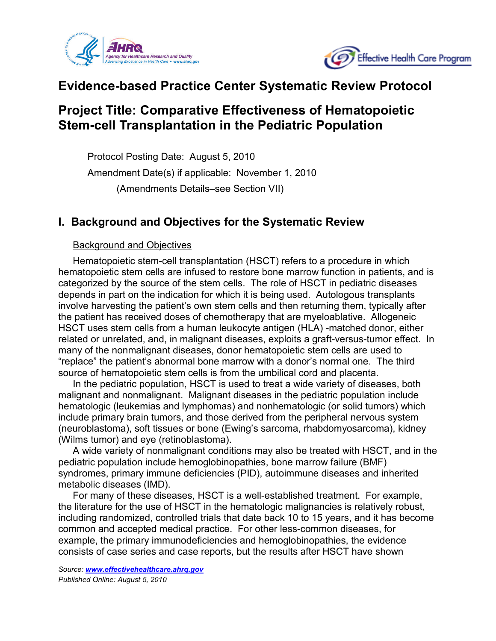



# **Evidence-based Practice Center Systematic Review Protocol**

# **Project Title: Comparative Effectiveness of Hematopoietic Stem-cell Transplantation in the Pediatric Population**

Protocol Posting Date: August 5, 2010 Amendment Date(s) if applicable: November 1, 2010 (Amendments Details–see Section VII)

## **I. Background and Objectives for the Systematic Review**

#### Background and Objectives

Hematopoietic stem-cell transplantation (HSCT) refers to a procedure in which hematopoietic stem cells are infused to restore bone marrow function in patients, and is categorized by the source of the stem cells. The role of HSCT in pediatric diseases depends in part on the indication for which it is being used. Autologous transplants involve harvesting the patient's own stem cells and then returning them, typically after the patient has received doses of chemotherapy that are myeloablative. Allogeneic HSCT uses stem cells from a human leukocyte antigen (HLA) -matched donor, either related or unrelated, and, in malignant diseases, exploits a graft-versus-tumor effect. In many of the nonmalignant diseases, donor hematopoietic stem cells are used to "replace" the patient's abnormal bone marrow with a donor's normal one. The third source of hematopoietic stem cells is from the umbilical cord and placenta.

In the pediatric population, HSCT is used to treat a wide variety of diseases, both malignant and nonmalignant. Malignant diseases in the pediatric population include hematologic (leukemias and lymphomas) and nonhematologic (or solid tumors) which include primary brain tumors, and those derived from the peripheral nervous system (neuroblastoma), soft tissues or bone (Ewing's sarcoma, rhabdomyosarcoma), kidney (Wilms tumor) and eye (retinoblastoma).

A wide variety of nonmalignant conditions may also be treated with HSCT, and in the pediatric population include hemoglobinopathies, bone marrow failure (BMF) syndromes, primary immune deficiencies (PID), autoimmune diseases and inherited metabolic diseases (IMD).

For many of these diseases, HSCT is a well-established treatment. For example, the literature for the use of HSCT in the hematologic malignancies is relatively robust, including randomized, controlled trials that date back 10 to 15 years, and it has become common and accepted medical practice. For other less-common diseases, for example, the primary immunodeficiencies and hemoglobinopathies, the evidence consists of case series and case reports, but the results after HSCT have shown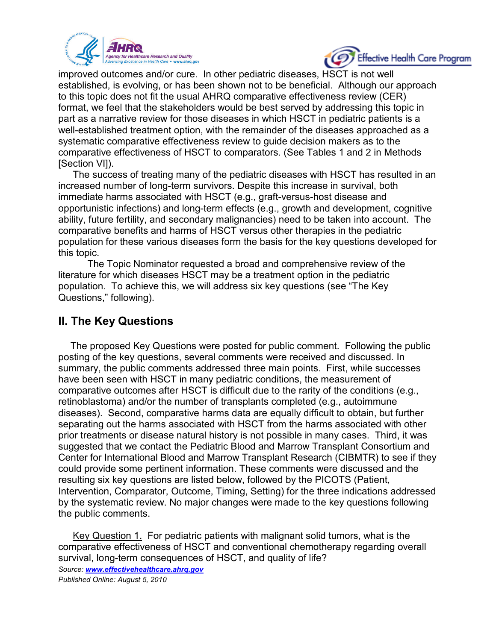



improved outcomes and/or cure. In other pediatric diseases, HSCT is not well established, is evolving, or has been shown not to be beneficial. Although our approach to this topic does not fit the usual AHRQ comparative effectiveness review (CER) format, we feel that the stakeholders would be best served by addressing this topic in part as a narrative review for those diseases in which HSCT in pediatric patients is a well-established treatment option, with the remainder of the diseases approached as a systematic comparative effectiveness review to guide decision makers as to the comparative effectiveness of HSCT to comparators. (See Tables 1 and 2 in Methods [Section VI]).

The success of treating many of the pediatric diseases with HSCT has resulted in an increased number of long-term survivors. Despite this increase in survival, both immediate harms associated with HSCT (e.g., graft-versus-host disease and opportunistic infections) and long-term effects (e.g., growth and development, cognitive ability, future fertility, and secondary malignancies) need to be taken into account. The comparative benefits and harms of HSCT versus other therapies in the pediatric population for these various diseases form the basis for the key questions developed for this topic.

The Topic Nominator requested a broad and comprehensive review of the literature for which diseases HSCT may be a treatment option in the pediatric population. To achieve this, we will address six key questions (see "The Key Questions," following).

## **II. The Key Questions**

The proposed Key Questions were posted for public comment. Following the public posting of the key questions, several comments were received and discussed. In summary, the public comments addressed three main points. First, while successes have been seen with HSCT in many pediatric conditions, the measurement of comparative outcomes after HSCT is difficult due to the rarity of the conditions (e.g., retinoblastoma) and/or the number of transplants completed (e.g., autoimmune diseases). Second, comparative harms data are equally difficult to obtain, but further separating out the harms associated with HSCT from the harms associated with other prior treatments or disease natural history is not possible in many cases. Third, it was suggested that we contact the Pediatric Blood and Marrow Transplant Consortium and Center for International Blood and Marrow Transplant Research (CIBMTR) to see if they could provide some pertinent information. These comments were discussed and the resulting six key questions are listed below, followed by the PICOTS (Patient, Intervention, Comparator, Outcome, Timing, Setting) for the three indications addressed by the systematic review. No major changes were made to the key questions following the public comments.

*Source: [www.effectivehealthcare.ahrq.gov](http://www.effectivehealthcare.ahrq.gov/) Published Online: August 5, 2010* Key Question 1. For pediatric patients with malignant solid tumors, what is the comparative effectiveness of HSCT and conventional chemotherapy regarding overall survival, long-term consequences of HSCT, and quality of life?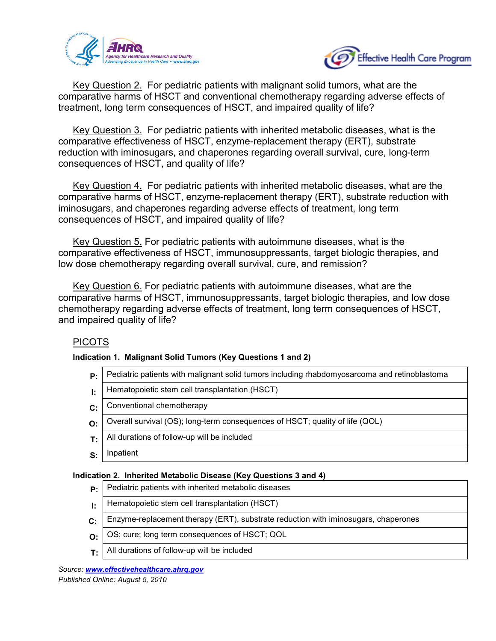



Key Question 2. For pediatric patients with malignant solid tumors, what are the comparative harms of HSCT and conventional chemotherapy regarding adverse effects of treatment, long term consequences of HSCT, and impaired quality of life?

Key Question 3. For pediatric patients with inherited metabolic diseases, what is the comparative effectiveness of HSCT, enzyme-replacement therapy (ERT), substrate reduction with iminosugars, and chaperones regarding overall survival, cure, long-term consequences of HSCT, and quality of life?

Key Question 4. For pediatric patients with inherited metabolic diseases, what are the comparative harms of HSCT, enzyme-replacement therapy (ERT), substrate reduction with iminosugars, and chaperones regarding adverse effects of treatment, long term consequences of HSCT, and impaired quality of life?

Key Question 5. For pediatric patients with autoimmune diseases, what is the comparative effectiveness of HSCT, immunosuppressants, target biologic therapies, and low dose chemotherapy regarding overall survival, cure, and remission?

Key Question 6. For pediatric patients with autoimmune diseases, what are the comparative harms of HSCT, immunosuppressants, target biologic therapies, and low dose chemotherapy regarding adverse effects of treatment, long term consequences of HSCT, and impaired quality of life?

## PICOTS

#### **Indication 1. Malignant Solid Tumors (Key Questions 1 and 2)**

- **P:** Pediatric patients with malignant solid tumors including rhabdomyosarcoma and retinoblastoma
- **I:** | Hematopoietic stem cell transplantation (HSCT)
- **C:** Conventional chemotherapy
- **O:** Overall survival (OS); long-term consequences of HSCT; quality of life (QOL)
- $T:$  All durations of follow-up will be included
- **S:** Inpatient

#### **Indication 2. Inherited Metabolic Disease (Key Questions 3 and 4)**

- **P:** Pediatric patients with inherited metabolic diseases
- **I:** | Hematopoietic stem cell transplantation (HSCT)
- **C:** Enzyme-replacement therapy (ERT), substrate reduction with iminosugars, chaperones
- **O:** OS; cure; long term consequences of HSCT; QOL
- **T:** All durations of follow-up will be included

*Source: [www.effectivehealthcare.ahrq.gov](http://www.effectivehealthcare.ahrq.gov/) Published Online: August 5, 2010*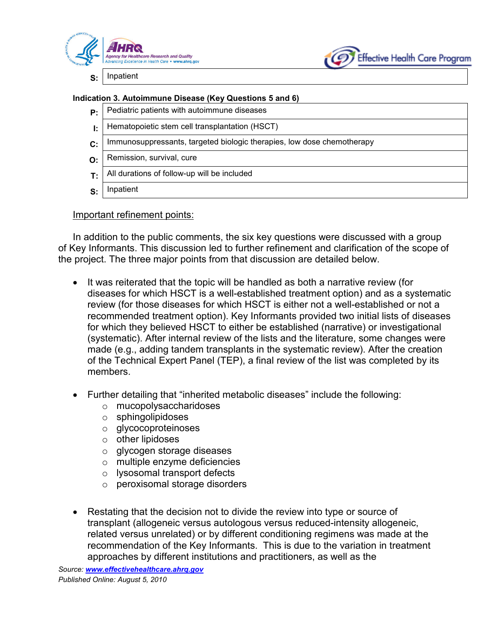



**S:** Inpatient

#### **Indication 3. Autoimmune Disease (Key Questions 5 and 6)**

- **P:** Pediatric patients with autoimmune diseases
- **I:** | Hematopoietic stem cell transplantation (HSCT)
- **C:** | Immunosuppressants, targeted biologic therapies, low dose chemotherapy
- **O:** Remission, survival, cure
- **T:** All durations of follow-up will be included
- **S:** Inpatient

#### Important refinement points:

In addition to the public comments, the six key questions were discussed with a group of Key Informants. This discussion led to further refinement and clarification of the scope of the project. The three major points from that discussion are detailed below.

- It was reiterated that the topic will be handled as both a narrative review (for diseases for which HSCT is a well-established treatment option) and as a systematic review (for those diseases for which HSCT is either not a well-established or not a recommended treatment option). Key Informants provided two initial lists of diseases for which they believed HSCT to either be established (narrative) or investigational (systematic). After internal review of the lists and the literature, some changes were made (e.g., adding tandem transplants in the systematic review). After the creation of the Technical Expert Panel (TEP), a final review of the list was completed by its members.
- Further detailing that "inherited metabolic diseases" include the following:
	- o mucopolysaccharidoses
	- o sphingolipidoses
	- o glycocoproteinoses
	- o other lipidoses
	- o glycogen storage diseases
	- o multiple enzyme deficiencies
	- o lysosomal transport defects
	- o peroxisomal storage disorders
- Restating that the decision not to divide the review into type or source of transplant (allogeneic versus autologous versus reduced-intensity allogeneic, related versus unrelated) or by different conditioning regimens was made at the recommendation of the Key Informants. This is due to the variation in treatment approaches by different institutions and practitioners, as well as the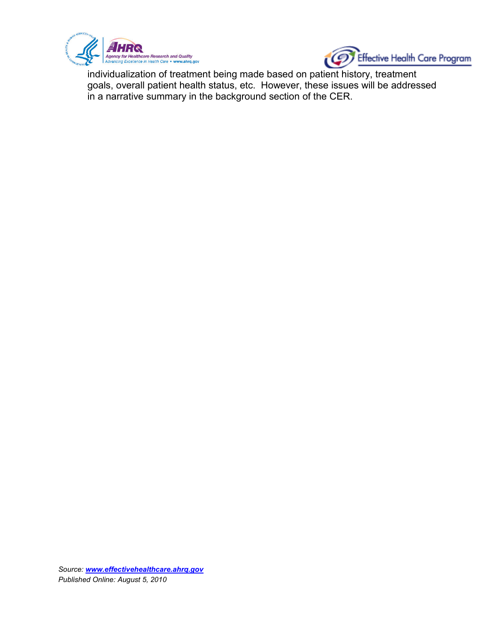



individualization of treatment being made based on patient history, treatment goals, overall patient health status, etc. However, these issues will be addressed in a narrative summary in the background section of the CER.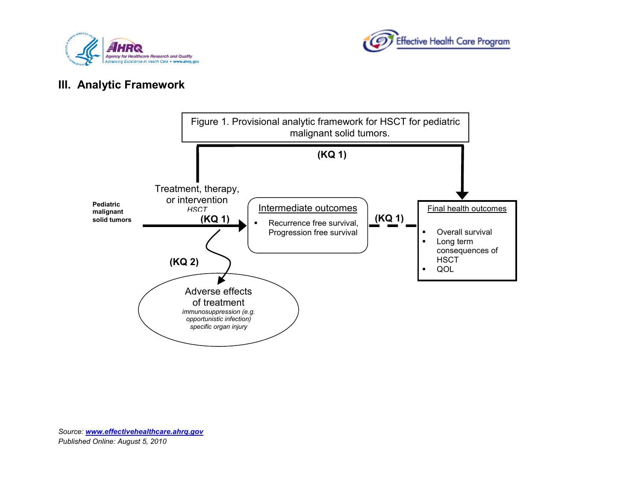



## **III. Analytic Framework**

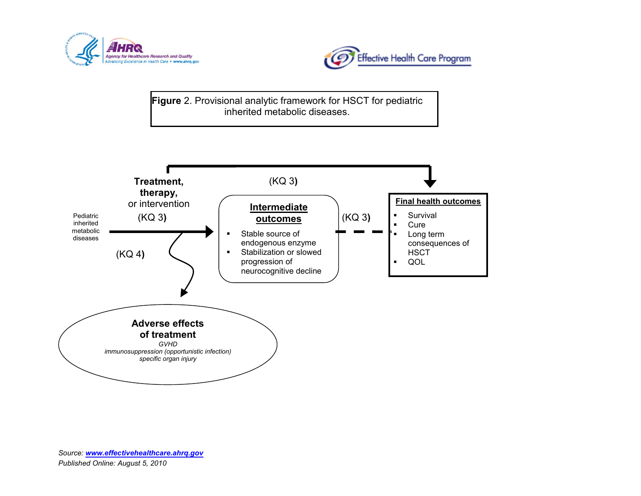



**Figure** 2. Provisional analytic framework for HSCT for pediatric inherited metabolic diseases.

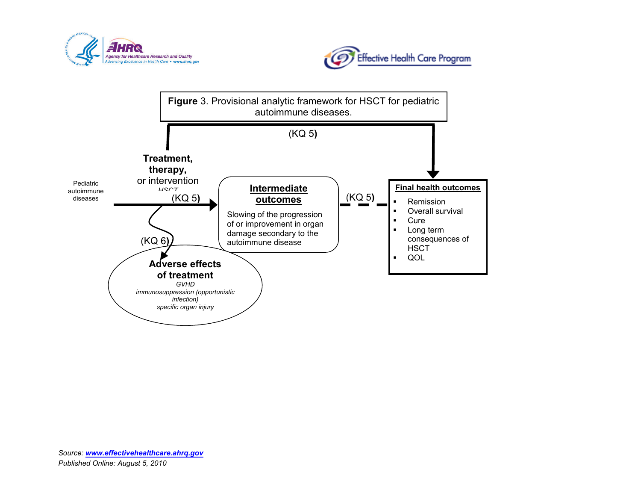



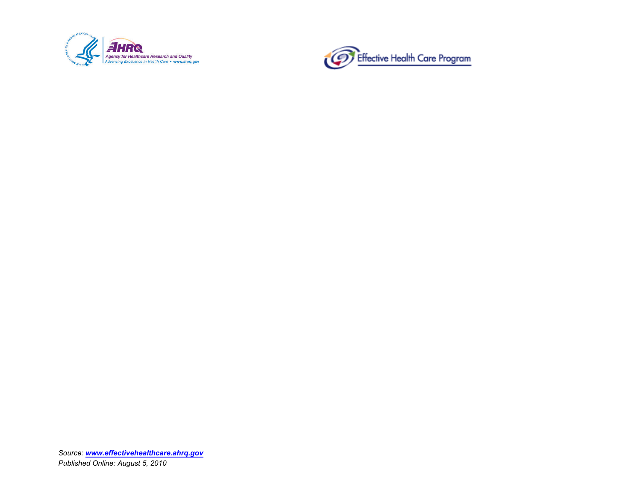

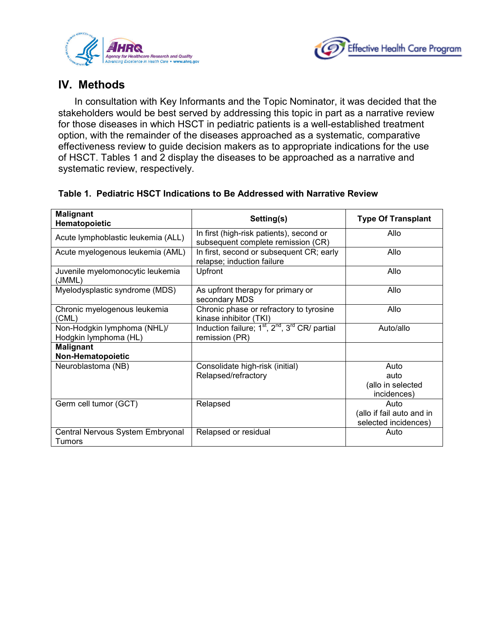



## **IV. Methods**

In consultation with Key Informants and the Topic Nominator, it was decided that the stakeholders would be best served by addressing this topic in part as a narrative review for those diseases in which HSCT in pediatric patients is a well-established treatment option, with the remainder of the diseases approached as a systematic, comparative effectiveness review to guide decision makers as to appropriate indications for the use of HSCT. Tables 1 and 2 display the diseases to be approached as a narrative and systematic review, respectively.

| <b>Malignant</b><br>Hematopoietic                    | Setting(s)                                                                                           | <b>Type Of Transplant</b>                                 |
|------------------------------------------------------|------------------------------------------------------------------------------------------------------|-----------------------------------------------------------|
| Acute lymphoblastic leukemia (ALL)                   | In first (high-risk patients), second or<br>subsequent complete remission (CR)                       | Allo                                                      |
| Acute myelogenous leukemia (AML)                     | In first, second or subsequent CR; early<br>relapse; induction failure                               | Allo                                                      |
| Juvenile myelomonocytic leukemia<br>(JMML)           | Upfront                                                                                              | Allo                                                      |
| Myelodysplastic syndrome (MDS)                       | As upfront therapy for primary or<br>secondary MDS                                                   | Allo                                                      |
| Chronic myelogenous leukemia<br>(CML)                | Chronic phase or refractory to tyrosine<br>kinase inhibitor (TKI)                                    | Allo                                                      |
| Non-Hodgkin lymphoma (NHL)/<br>Hodgkin lymphoma (HL) | Induction failure; 1 <sup>st</sup> , 2 <sup>nd</sup> , 3 <sup>rd</sup> CR/ partial<br>remission (PR) | Auto/allo                                                 |
| <b>Malignant</b><br>Non-Hematopoietic                |                                                                                                      |                                                           |
| Neuroblastoma (NB)                                   | Consolidate high-risk (initial)<br>Relapsed/refractory                                               | Auto<br>auto<br>(allo in selected<br>incidences)          |
| Germ cell tumor (GCT)                                | Relapsed                                                                                             | Auto<br>(allo if fail auto and in<br>selected incidences) |
| Central Nervous System Embryonal<br>Tumors           | Relapsed or residual                                                                                 | Auto                                                      |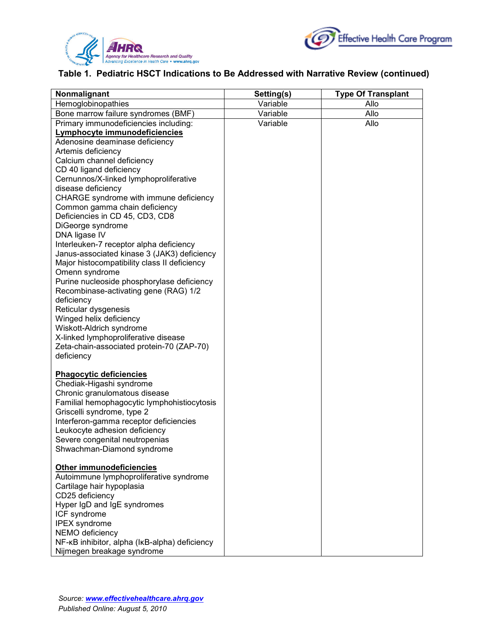



### **Table 1. Pediatric HSCT Indications to Be Addressed with Narrative Review (continued)**

| Nonmalignant                                                                                                                                                                                                                                                                                                                                                                                                                                                                                                                                                                                                                                                                                                                                                                                                          | Setting(s) | <b>Type Of Transplant</b> |
|-----------------------------------------------------------------------------------------------------------------------------------------------------------------------------------------------------------------------------------------------------------------------------------------------------------------------------------------------------------------------------------------------------------------------------------------------------------------------------------------------------------------------------------------------------------------------------------------------------------------------------------------------------------------------------------------------------------------------------------------------------------------------------------------------------------------------|------------|---------------------------|
| Hemoglobinopathies                                                                                                                                                                                                                                                                                                                                                                                                                                                                                                                                                                                                                                                                                                                                                                                                    | Variable   | Allo                      |
| Bone marrow failure syndromes (BMF)                                                                                                                                                                                                                                                                                                                                                                                                                                                                                                                                                                                                                                                                                                                                                                                   | Variable   | Allo                      |
| Primary immunodeficiencies including:                                                                                                                                                                                                                                                                                                                                                                                                                                                                                                                                                                                                                                                                                                                                                                                 | Variable   | Allo                      |
| Lymphocyte immunodeficiencies<br>Adenosine deaminase deficiency<br>Artemis deficiency<br>Calcium channel deficiency<br>CD 40 ligand deficiency<br>Cernunnos/X-linked lymphoproliferative<br>disease deficiency<br>CHARGE syndrome with immune deficiency<br>Common gamma chain deficiency<br>Deficiencies in CD 45, CD3, CD8<br>DiGeorge syndrome<br>DNA ligase IV<br>Interleuken-7 receptor alpha deficiency<br>Janus-associated kinase 3 (JAK3) deficiency<br>Major histocompatibility class II deficiency<br>Omenn syndrome<br>Purine nucleoside phosphorylase deficiency<br>Recombinase-activating gene (RAG) 1/2<br>deficiency<br>Reticular dysgenesis<br>Winged helix deficiency<br>Wiskott-Aldrich syndrome<br>X-linked lymphoproliferative disease<br>Zeta-chain-associated protein-70 (ZAP-70)<br>deficiency |            |                           |
| <b>Phagocytic deficiencies</b><br>Chediak-Higashi syndrome<br>Chronic granulomatous disease<br>Familial hemophagocytic lymphohistiocytosis<br>Griscelli syndrome, type 2<br>Interferon-gamma receptor deficiencies<br>Leukocyte adhesion deficiency<br>Severe congenital neutropenias<br>Shwachman-Diamond syndrome<br><b>Other immunodeficiencies</b>                                                                                                                                                                                                                                                                                                                                                                                                                                                                |            |                           |
| Autoimmune lymphoproliferative syndrome<br>Cartilage hair hypoplasia<br>CD25 deficiency<br>Hyper IgD and IgE syndromes<br>ICF syndrome<br>IPEX syndrome<br>NEMO deficiency<br>NF-KB inhibitor, alpha (IKB-alpha) deficiency<br>Nijmegen breakage syndrome                                                                                                                                                                                                                                                                                                                                                                                                                                                                                                                                                             |            |                           |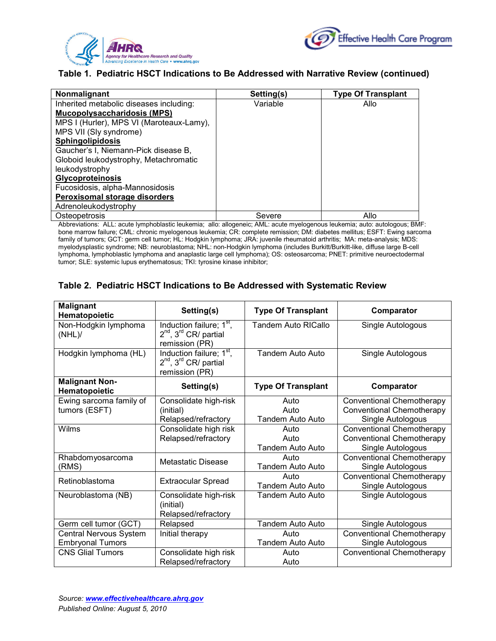



#### **Table 1. Pediatric HSCT Indications to Be Addressed with Narrative Review (continued)**

| Nonmalignant                             | Setting(s) | <b>Type Of Transplant</b> |
|------------------------------------------|------------|---------------------------|
| Inherited metabolic diseases including:  | Variable   | Allo                      |
| <b>Mucopolysaccharidosis (MPS)</b>       |            |                           |
| MPS I (Hurler), MPS VI (Maroteaux-Lamy), |            |                           |
| MPS VII (Sly syndrome)                   |            |                           |
| Sphingolipidosis                         |            |                           |
| Gaucher's I, Niemann-Pick disease B,     |            |                           |
| Globoid leukodystrophy, Metachromatic    |            |                           |
| leukodystrophy                           |            |                           |
| <b>Glycoproteinosis</b>                  |            |                           |
| Fucosidosis, alpha-Mannosidosis          |            |                           |
| Peroxisomal storage disorders            |            |                           |
| Adrenoleukodystrophy                     |            |                           |
| Osteopetrosis                            | Severe     | Allo                      |

Abbreviations: ALL: acute lymphoblastic leukemia; allo: allogeneic; AML: acute myelogenous leukemia; auto: autologous; BMF: bone marrow failure; CML: chronic myelogenous leukemia; CR: complete remission; DM: diabetes mellitus; ESFT: Ewing sarcoma family of tumors; GCT: germ cell tumor; HL: Hodgkin lymphoma; JRA: juvenile rheumatoid arthritis; MA: meta-analysis; MDS: myelodysplastic syndrome; NB: neuroblastoma; NHL: non-Hodgkin lymphoma (includes Burkitt/Burkitt-like, diffuse large B-cell lymphoma, lymphoblastic lymphoma and anaplastic large cell lymphoma); OS: osteosarcoma; PNET: primitive neuroectodermal tumor; SLE: systemic lupus erythematosus; TKI: tyrosine kinase inhibitor;

#### **Table 2. Pediatric HSCT Indications to Be Addressed with Systematic Review**

| <b>Malignant</b><br>Hematopoietic                 | Setting(s)                                                                                              | <b>Type Of Transplant</b>        | Comparator                                                                                |
|---------------------------------------------------|---------------------------------------------------------------------------------------------------------|----------------------------------|-------------------------------------------------------------------------------------------|
| Non-Hodgkin lymphoma<br>$(NHL)$ /                 | Induction failure; 1 <sup>st</sup> ,<br>$2^{nd}$ , $3^{rd}$ CR/ partial<br>remission (PR)               | Tandem Auto RICallo              | Single Autologous                                                                         |
| Hodgkin lymphoma (HL)                             | Induction failure; 1 <sup>st</sup> ,<br>2 <sup>nd</sup> , 3 <sup>rd</sup> CR/ partial<br>remission (PR) | Tandem Auto Auto                 | Single Autologous                                                                         |
| <b>Malignant Non-</b><br>Hematopoietic            | Setting(s)                                                                                              | <b>Type Of Transplant</b>        | Comparator                                                                                |
| Ewing sarcoma family of<br>tumors (ESFT)          | Consolidate high-risk<br>(initial)<br>Relapsed/refractory                                               | Auto<br>Auto<br>Tandem Auto Auto | <b>Conventional Chemotherapy</b><br><b>Conventional Chemotherapy</b><br>Single Autologous |
| <b>Wilms</b>                                      | Consolidate high risk<br>Relapsed/refractory                                                            | Auto<br>Auto<br>Tandem Auto Auto | <b>Conventional Chemotherapy</b><br><b>Conventional Chemotherapy</b><br>Single Autologous |
| Rhabdomyosarcoma<br>(RMS)                         | Metastatic Disease                                                                                      | Auto<br><b>Tandem Auto Auto</b>  | <b>Conventional Chemotherapy</b><br>Single Autologous                                     |
| Retinoblastoma                                    | <b>Extraocular Spread</b>                                                                               | Auto<br><b>Tandem Auto Auto</b>  | <b>Conventional Chemotherapy</b><br>Single Autologous                                     |
| Neuroblastoma (NB)                                | Consolidate high-risk<br>(initial)<br>Relapsed/refractory                                               | <b>Tandem Auto Auto</b>          | Single Autologous                                                                         |
| Germ cell tumor (GCT)                             | Relapsed                                                                                                | Tandem Auto Auto                 | Single Autologous                                                                         |
| Central Nervous System<br><b>Embryonal Tumors</b> | Initial therapy                                                                                         | Auto<br><b>Tandem Auto Auto</b>  | Conventional Chemotherapy<br>Single Autologous                                            |
| <b>CNS Glial Tumors</b>                           | Consolidate high risk<br>Relapsed/refractory                                                            | Auto<br>Auto                     | <b>Conventional Chemotherapy</b>                                                          |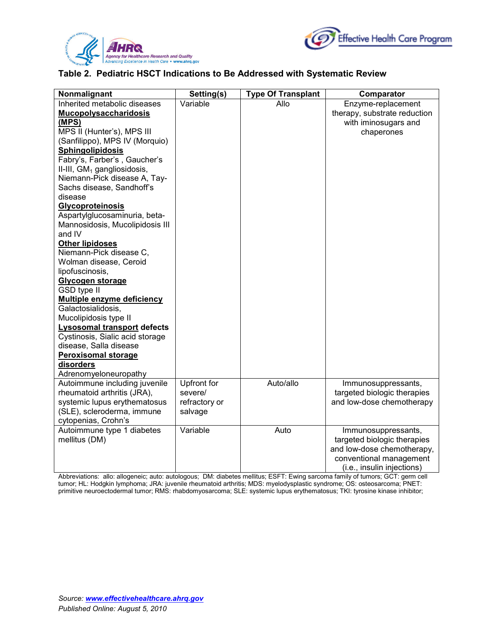



#### **Table 2. Pediatric HSCT Indications to Be Addressed with Systematic Review**

| Nonmalignant                            | Setting(s)    | <b>Type Of Transplant</b> | Comparator                   |
|-----------------------------------------|---------------|---------------------------|------------------------------|
| Inherited metabolic diseases            | Variable      | Allo                      | Enzyme-replacement           |
| <b>Mucopolysaccharidosis</b>            |               |                           | therapy, substrate reduction |
| (MPS)                                   |               |                           | with iminosugars and         |
| MPS II (Hunter's), MPS III              |               |                           | chaperones                   |
| (Sanfilippo), MPS IV (Morquio)          |               |                           |                              |
| <b>Sphingolipidosis</b>                 |               |                           |                              |
| Fabry's, Farber's, Gaucher's            |               |                           |                              |
| II-III, GM <sub>1</sub> gangliosidosis, |               |                           |                              |
| Niemann-Pick disease A, Tay-            |               |                           |                              |
| Sachs disease, Sandhoff's               |               |                           |                              |
| disease                                 |               |                           |                              |
| <b>Glycoproteinosis</b>                 |               |                           |                              |
| Aspartylglucosaminuria, beta-           |               |                           |                              |
| Mannosidosis, Mucolipidosis III         |               |                           |                              |
| and IV                                  |               |                           |                              |
| <b>Other lipidoses</b>                  |               |                           |                              |
| Niemann-Pick disease C,                 |               |                           |                              |
| Wolman disease, Ceroid                  |               |                           |                              |
| lipofuscinosis,                         |               |                           |                              |
| Glycogen storage                        |               |                           |                              |
| <b>GSD type II</b>                      |               |                           |                              |
| <b>Multiple enzyme deficiency</b>       |               |                           |                              |
| Galactosialidosis,                      |               |                           |                              |
| Mucolipidosis type II                   |               |                           |                              |
| <b>Lysosomal transport defects</b>      |               |                           |                              |
| Cystinosis, Sialic acid storage         |               |                           |                              |
| disease, Salla disease                  |               |                           |                              |
| <b>Peroxisomal storage</b>              |               |                           |                              |
| disorders                               |               |                           |                              |
| Adrenomyeloneuropathy                   |               |                           |                              |
| Autoimmune including juvenile           | Upfront for   | Auto/allo                 | Immunosuppressants,          |
| rheumatoid arthritis (JRA),             | severe/       |                           | targeted biologic therapies  |
| systemic lupus erythematosus            | refractory or |                           | and low-dose chemotherapy    |
| (SLE), scleroderma, immune              | salvage       |                           |                              |
| cytopenias, Crohn's                     |               |                           |                              |
| Autoimmune type 1 diabetes              | Variable      | Auto                      | Immunosuppressants,          |
| mellitus (DM)                           |               |                           | targeted biologic therapies  |
|                                         |               |                           | and low-dose chemotherapy,   |
|                                         |               |                           | conventional management      |
|                                         |               |                           | (i.e., insulin injections)   |

Abbreviations: allo: allogeneic; auto: autologous; DM: diabetes mellitus; ESFT: Ewing sarcoma family of tumors; GCT: germ cell tumor; HL: Hodgkin lymphoma; JRA: juvenile rheumatoid arthritis; MDS: myelodysplastic syndrome; OS: osteosarcoma; PNET: primitive neuroectodermal tumor; RMS: rhabdomyosarcoma; SLE: systemic lupus erythematosus; TKI: tyrosine kinase inhibitor;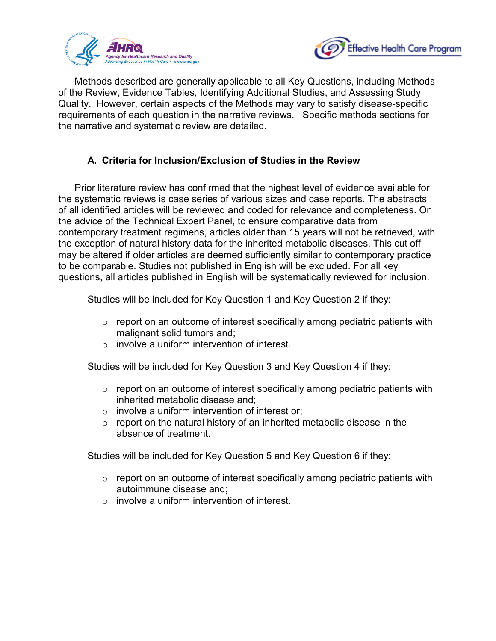



Methods described are generally applicable to all Key Questions, including Methods of the Review, Evidence Tables, Identifying Additional Studies, and Assessing Study Quality. However, certain aspects of the Methods may vary to satisfy disease-specific requirements of each question in the narrative reviews. Specific methods sections for the narrative and systematic review are detailed.

### **A. Criteria for Inclusion/Exclusion of Studies in the Review**

Prior literature review has confirmed that the highest level of evidence available for the systematic reviews is case series of various sizes and case reports. The abstracts of all identified articles will be reviewed and coded for relevance and completeness. On the advice of the Technical Expert Panel, to ensure comparative data from contemporary treatment regimens, articles older than 15 years will not be retrieved, with the exception of natural history data for the inherited metabolic diseases. This cut off may be altered if older articles are deemed sufficiently similar to contemporary practice to be comparable. Studies not published in English will be excluded. For all key questions, all articles published in English will be systematically reviewed for inclusion.

Studies will be included for Key Question 1 and Key Question 2 if they:

- $\circ$  report on an outcome of interest specifically among pediatric patients with malignant solid tumors and;
- $\circ$  involve a uniform intervention of interest.

Studies will be included for Key Question 3 and Key Question 4 if they:

- $\circ$  report on an outcome of interest specifically among pediatric patients with inherited metabolic disease and;
- $\circ$  involve a uniform intervention of interest or;
- $\circ$  report on the natural history of an inherited metabolic disease in the absence of treatment.

Studies will be included for Key Question 5 and Key Question 6 if they:

- $\circ$  report on an outcome of interest specifically among pediatric patients with autoimmune disease and;
- $\circ$  involve a uniform intervention of interest.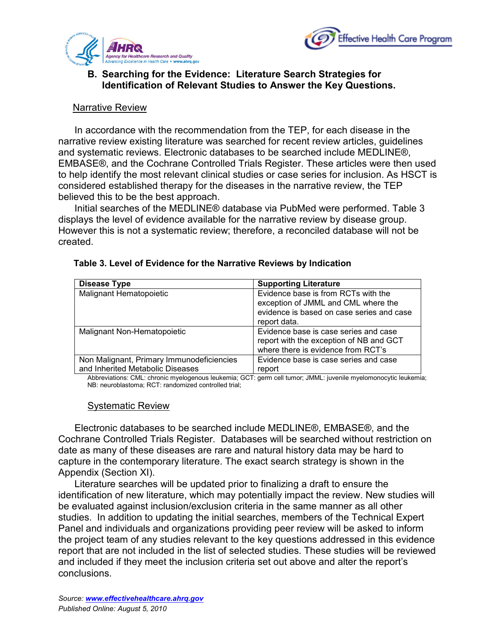



#### **B. Searching for the Evidence: Literature Search Strategies for Identification of Relevant Studies to Answer the Key Questions.**

#### Narrative Review

In accordance with the recommendation from the TEP, for each disease in the narrative review existing literature was searched for recent review articles, guidelines and systematic reviews. Electronic databases to be searched include MEDLINE®, EMBASE®, and the Cochrane Controlled Trials Register. These articles were then used to help identify the most relevant clinical studies or case series for inclusion. As HSCT is considered established therapy for the diseases in the narrative review, the TEP believed this to be the best approach.

Initial searches of the MEDLINE® database via PubMed were performed. Table 3 displays the level of evidence available for the narrative review by disease group. However this is not a systematic review; therefore, a reconciled database will not be created.

| Evidence base is from RCTs with the                                                                                    |
|------------------------------------------------------------------------------------------------------------------------|
| exception of JMML and CML where the                                                                                    |
| evidence is based on case series and case<br>report data.                                                              |
| Evidence base is case series and case<br>report with the exception of NB and GCT<br>where there is evidence from RCT's |
| Evidence base is case series and case<br>report                                                                        |
|                                                                                                                        |

#### **Table 3. Level of Evidence for the Narrative Reviews by Indication**

Abbreviations: CML: chronic myelogenous leukemia; GCT: germ cell tumor; JMML: juvenile myelomonocytic leukemia; NB: neuroblastoma; RCT: randomized controlled trial;

#### Systematic Review

Electronic databases to be searched include MEDLINE®, EMBASE®, and the Cochrane Controlled Trials Register. Databases will be searched without restriction on date as many of these diseases are rare and natural history data may be hard to capture in the contemporary literature. The exact search strategy is shown in the Appendix (Section XI).

Literature searches will be updated prior to finalizing a draft to ensure the identification of new literature, which may potentially impact the review. New studies will be evaluated against inclusion/exclusion criteria in the same manner as all other studies. In addition to updating the initial searches, members of the Technical Expert Panel and individuals and organizations providing peer review will be asked to inform the project team of any studies relevant to the key questions addressed in this evidence report that are not included in the list of selected studies. These studies will be reviewed and included if they meet the inclusion criteria set out above and alter the report's conclusions.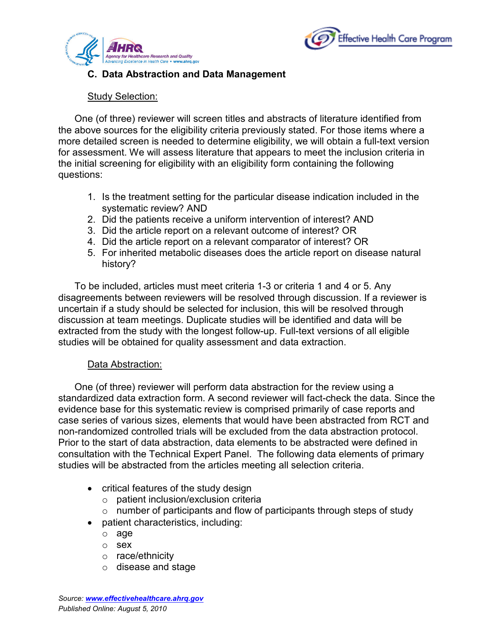



### **C. Data Abstraction and Data Management**

### Study Selection:

One (of three) reviewer will screen titles and abstracts of literature identified from the above sources for the eligibility criteria previously stated. For those items where a more detailed screen is needed to determine eligibility, we will obtain a full-text version for assessment. We will assess literature that appears to meet the inclusion criteria in the initial screening for eligibility with an eligibility form containing the following questions:

- 1. Is the treatment setting for the particular disease indication included in the systematic review? AND
- 2. Did the patients receive a uniform intervention of interest? AND
- 3. Did the article report on a relevant outcome of interest? OR
- 4. Did the article report on a relevant comparator of interest? OR
- 5. For inherited metabolic diseases does the article report on disease natural history?

To be included, articles must meet criteria 1-3 or criteria 1 and 4 or 5. Any disagreements between reviewers will be resolved through discussion. If a reviewer is uncertain if a study should be selected for inclusion, this will be resolved through discussion at team meetings. Duplicate studies will be identified and data will be extracted from the study with the longest follow-up. Full-text versions of all eligible studies will be obtained for quality assessment and data extraction.

### Data Abstraction:

One (of three) reviewer will perform data abstraction for the review using a standardized data extraction form. A second reviewer will fact-check the data. Since the evidence base for this systematic review is comprised primarily of case reports and case series of various sizes, elements that would have been abstracted from RCT and non-randomized controlled trials will be excluded from the data abstraction protocol. Prior to the start of data abstraction, data elements to be abstracted were defined in consultation with the Technical Expert Panel. The following data elements of primary studies will be abstracted from the articles meeting all selection criteria.

- critical features of the study design
	- o patient inclusion/exclusion criteria
	- $\circ$  number of participants and flow of participants through steps of study
- patient characteristics, including:
	- o age
	- o sex
	- o race/ethnicity
	- o disease and stage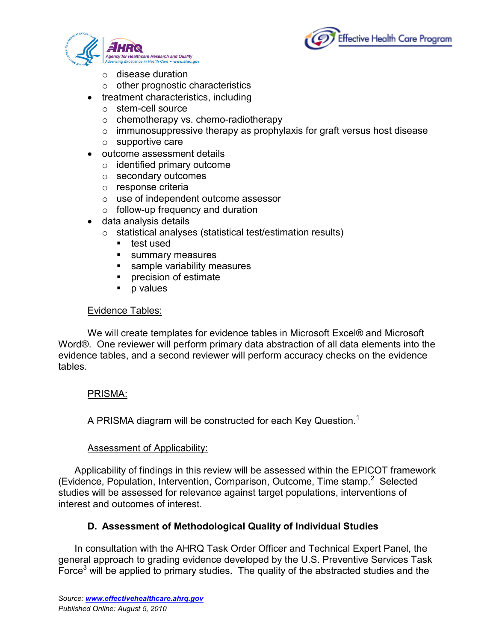



- o disease duration
- $\circ$  other prognostic characteristics
- treatment characteristics, including
	- o stem-cell source
	- o chemotherapy vs. chemo-radiotherapy
	- $\circ$  immunosuppressive therapy as prophylaxis for graft versus host disease
	- $\circ$  supportive care
- outcome assessment details
	- $\circ$  identified primary outcome
	- o secondary outcomes
	- o response criteria
	- o use of independent outcome assessor
	- $\circ$  follow-up frequency and duration
- data analysis details
	- o statistical analyses (statistical test/estimation results)
		- **test used**
		- **summary measures**
		- **sample variability measures**
		- **Precision of estimate**
		- p values

### Evidence Tables:

We will create templates for evidence tables in Microsoft Excel® and Microsoft Word®. One reviewer will perform primary data abstraction of all data elements into the evidence tables, and a second reviewer will perform accuracy checks on the evidence tables.

### PRISMA:

A PRISMA diagram will be constructed for each Key Question.<sup>1</sup>

### **Assessment of Applicability:**

Applicability of findings in this review will be assessed within the EPICOT framework (Evidence, Population, Intervention, Comparison, Outcome, Time stamp.<sup>2</sup> Selected studies will be assessed for relevance against target populations, interventions of interest and outcomes of interest.

### **D. Assessment of Methodological Quality of Individual Studies**

In consultation with the AHRQ Task Order Officer and Technical Expert Panel, the general approach to grading evidence developed by the U.S. Preventive Services Task Force $3$  will be applied to primary studies. The quality of the abstracted studies and the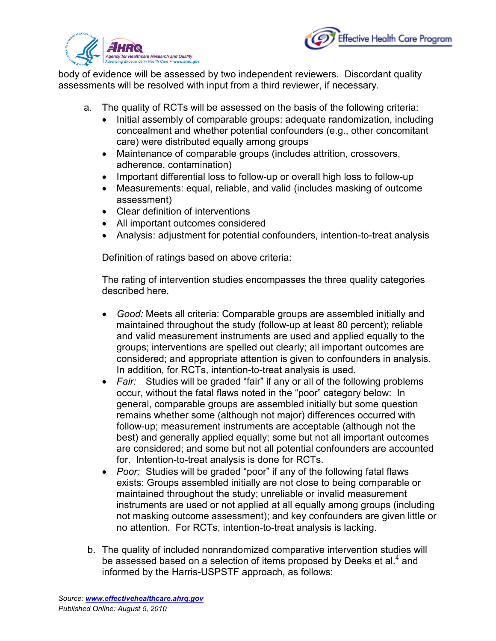



body of evidence will be assessed by two independent reviewers. Discordant quality assessments will be resolved with input from a third reviewer, if necessary.

- a. The quality of RCTs will be assessed on the basis of the following criteria:
	- Initial assembly of comparable groups: adequate randomization, including concealment and whether potential confounders (e.g., other concomitant care) were distributed equally among groups
	- Maintenance of comparable groups (includes attrition, crossovers, adherence, contamination)
	- Important differential loss to follow-up or overall high loss to follow-up
	- Measurements: equal, reliable, and valid (includes masking of outcome assessment)
	- Clear definition of interventions
	- All important outcomes considered
	- Analysis: adjustment for potential confounders, intention-to-treat analysis

Definition of ratings based on above criteria:

The rating of intervention studies encompasses the three quality categories described here.

- *Good:* Meets all criteria: Comparable groups are assembled initially and maintained throughout the study (follow-up at least 80 percent); reliable and valid measurement instruments are used and applied equally to the groups; interventions are spelled out clearly; all important outcomes are considered; and appropriate attention is given to confounders in analysis. In addition, for RCTs, intention-to-treat analysis is used.
- *Fair:* Studies will be graded "fair" if any or all of the following problems occur, without the fatal flaws noted in the "poor" category below: In general, comparable groups are assembled initially but some question remains whether some (although not major) differences occurred with follow-up; measurement instruments are acceptable (although not the best) and generally applied equally; some but not all important outcomes are considered; and some but not all potential confounders are accounted for. Intention-to-treat analysis is done for RCTs.
- *Poor:* Studies will be graded "poor" if any of the following fatal flaws exists: Groups assembled initially are not close to being comparable or maintained throughout the study; unreliable or invalid measurement instruments are used or not applied at all equally among groups (including not masking outcome assessment); and key confounders are given little or no attention. For RCTs, intention-to-treat analysis is lacking.
- b. The quality of included nonrandomized comparative intervention studies will be assessed based on a selection of items proposed by Deeks et al.<sup>4</sup> and informed by the Harris-USPSTF approach, as follows: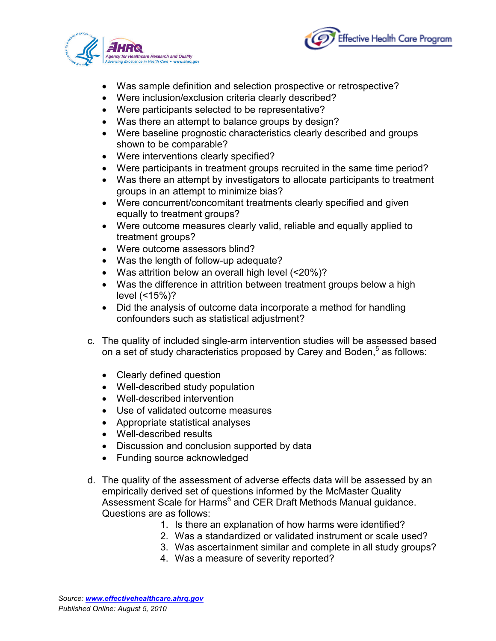



- Was sample definition and selection prospective or retrospective?
- Were inclusion/exclusion criteria clearly described?
- Were participants selected to be representative?
- Was there an attempt to balance groups by design?
- Were baseline prognostic characteristics clearly described and groups shown to be comparable?
- Were interventions clearly specified?
- Were participants in treatment groups recruited in the same time period?
- Was there an attempt by investigators to allocate participants to treatment groups in an attempt to minimize bias?
- Were concurrent/concomitant treatments clearly specified and given equally to treatment groups?
- Were outcome measures clearly valid, reliable and equally applied to treatment groups?
- Were outcome assessors blind?
- Was the length of follow-up adequate?
- Was attrition below an overall high level (<20%)?
- Was the difference in attrition between treatment groups below a high level (<15%)?
- Did the analysis of outcome data incorporate a method for handling confounders such as statistical adjustment?
- c. The quality of included single-arm intervention studies will be assessed based on a set of study characteristics proposed by Carey and Boden,<sup>5</sup> as follows:
	- Clearly defined question
	- Well-described study population
	- Well-described intervention
	- Use of validated outcome measures
	- Appropriate statistical analyses
	- Well-described results
	- Discussion and conclusion supported by data
	- Funding source acknowledged
- d. The quality of the assessment of adverse effects data will be assessed by an empirically derived set of questions informed by the McMaster Quality Assessment Scale for Harms<sup>6</sup> and CER Draft Methods Manual guidance. Questions are as follows:
	- 1. Is there an explanation of how harms were identified?
	- 2. Was a standardized or validated instrument or scale used?
	- 3. Was ascertainment similar and complete in all study groups?
	- 4. Was a measure of severity reported?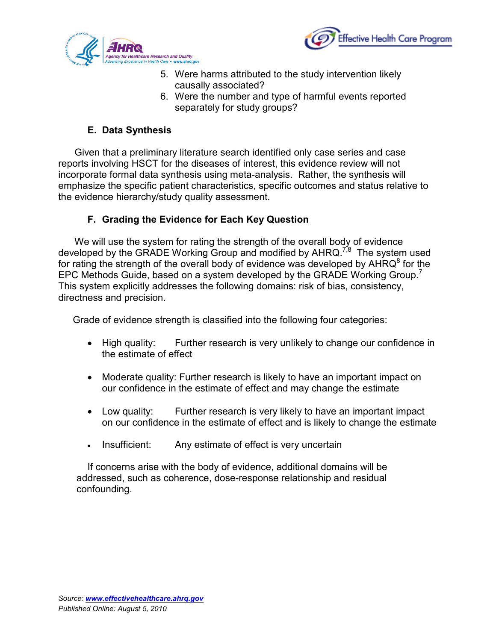



- 5. Were harms attributed to the study intervention likely causally associated?
- 6. Were the number and type of harmful events reported separately for study groups?

## **E. Data Synthesis**

Given that a preliminary literature search identified only case series and case reports involving HSCT for the diseases of interest, this evidence review will not incorporate formal data synthesis using meta-analysis. Rather, the synthesis will emphasize the specific patient characteristics, specific outcomes and status relative to the evidence hierarchy/study quality assessment.

## **F. Grading the Evidence for Each Key Question**

We will use the system for rating the strength of the overall body of evidence developed by the GRADE Working Group and modified by AHRQ.<sup>7,8</sup> The system used for rating the strength of the overall body of evidence was developed by  $AHRQ^8$  for the EPC Methods Guide, based on a system developed by the GRADE Working Group. This system explicitly addresses the following domains: risk of bias, consistency, directness and precision.

Grade of evidence strength is classified into the following four categories:

- High quality: Further research is very unlikely to change our confidence in the estimate of effect
- Moderate quality: Further research is likely to have an important impact on our confidence in the estimate of effect and may change the estimate
- Low quality: Further research is very likely to have an important impact on our confidence in the estimate of effect and is likely to change the estimate
- Insufficient: Any estimate of effect is very uncertain

If concerns arise with the body of evidence, additional domains will be addressed, such as coherence, dose-response relationship and residual confounding.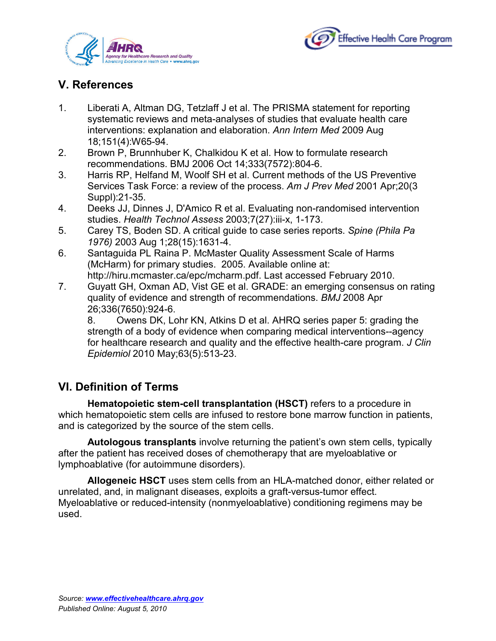



## **V. References**

- 1. Liberati A, Altman DG, Tetzlaff J et al. The PRISMA statement for reporting systematic reviews and meta-analyses of studies that evaluate health care interventions: explanation and elaboration. *Ann Intern Med* 2009 Aug 18;151(4):W65-94.
- 2. Brown P, Brunnhuber K, Chalkidou K et al. How to formulate research recommendations. BMJ 2006 Oct 14;333(7572):804-6.
- 3. Harris RP, Helfand M, Woolf SH et al. Current methods of the US Preventive Services Task Force: a review of the process. *Am J Prev Med* 2001 Apr;20(3 Suppl):21-35.
- 4. Deeks JJ, Dinnes J, D'Amico R et al. Evaluating non-randomised intervention studies. *Health Technol Assess* 2003;7(27):iii-x, 1-173.
- 5. Carey TS, Boden SD. A critical guide to case series reports. *Spine (Phila Pa 1976)* 2003 Aug 1;28(15):1631-4.
- 6. Santaguida PL Raina P. McMaster Quality Assessment Scale of Harms (McHarm) for primary studies. 2005. Available online at: http://hiru.mcmaster.ca/epc/mcharm.pdf. Last accessed February 2010.
- 7. Guyatt GH, Oxman AD, Vist GE et al. GRADE: an emerging consensus on rating quality of evidence and strength of recommendations. *BMJ* 2008 Apr 26;336(7650):924-6.

8. Owens DK, Lohr KN, Atkins D et al. AHRQ series paper 5: grading the strength of a body of evidence when comparing medical interventions--agency for healthcare research and quality and the effective health-care program. *J Clin Epidemiol* 2010 May;63(5):513-23.

## **VI. Definition of Terms**

**Hematopoietic stem-cell transplantation (HSCT)** refers to a procedure in which hematopoietic stem cells are infused to restore bone marrow function in patients, and is categorized by the source of the stem cells.

**Autologous transplants** involve returning the patient's own stem cells, typically after the patient has received doses of chemotherapy that are myeloablative or lymphoablative (for autoimmune disorders).

**Allogeneic HSCT** uses stem cells from an HLA-matched donor, either related or unrelated, and, in malignant diseases, exploits a graft-versus-tumor effect. Myeloablative or reduced-intensity (nonmyeloablative) conditioning regimens may be used.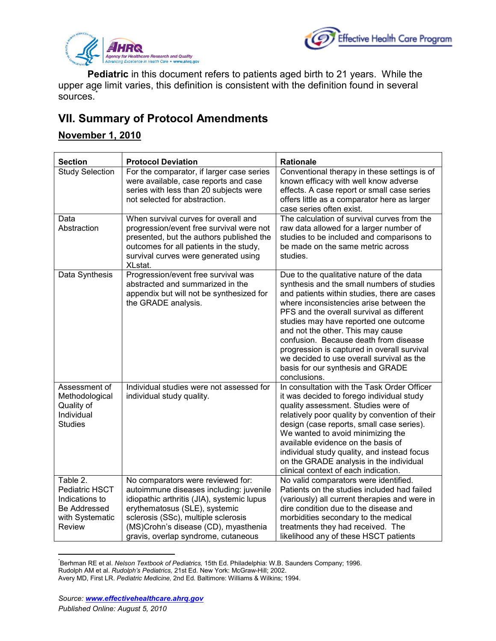



**Pediatric** in this document refers to patients aged birth to 21 years. While the upper age limit varies, this definition is consistent with the definition found in several sources.<sup>[\\*](#page-21-0)</sup>

## **VII. Summary of Protocol Amendments**

## **November 1, 2010**

| <b>Section</b>                                                                                   | <b>Protocol Deviation</b>                                                                                                                                                                                                                                                         | <b>Rationale</b>                                                                                                                                                                                                                                                                                                                                                                                                                                                                                        |
|--------------------------------------------------------------------------------------------------|-----------------------------------------------------------------------------------------------------------------------------------------------------------------------------------------------------------------------------------------------------------------------------------|---------------------------------------------------------------------------------------------------------------------------------------------------------------------------------------------------------------------------------------------------------------------------------------------------------------------------------------------------------------------------------------------------------------------------------------------------------------------------------------------------------|
| <b>Study Selection</b>                                                                           | For the comparator, if larger case series<br>were available, case reports and case<br>series with less than 20 subjects were<br>not selected for abstraction.                                                                                                                     | Conventional therapy in these settings is of<br>known efficacy with well know adverse<br>effects. A case report or small case series<br>offers little as a comparator here as larger<br>case series often exist.                                                                                                                                                                                                                                                                                        |
| Data<br>Abstraction                                                                              | When survival curves for overall and<br>progression/event free survival were not<br>presented, but the authors published the<br>outcomes for all patients in the study,<br>survival curves were generated using<br>XLstat.                                                        | The calculation of survival curves from the<br>raw data allowed for a larger number of<br>studies to be included and comparisons to<br>be made on the same metric across<br>studies.                                                                                                                                                                                                                                                                                                                    |
| Data Synthesis                                                                                   | Progression/event free survival was<br>abstracted and summarized in the<br>appendix but will not be synthesized for<br>the GRADE analysis.                                                                                                                                        | Due to the qualitative nature of the data<br>synthesis and the small numbers of studies<br>and patients within studies, there are cases<br>where inconsistencies arise between the<br>PFS and the overall survival as different<br>studies may have reported one outcome<br>and not the other. This may cause<br>confusion. Because death from disease<br>progression is captured in overall survival<br>we decided to use overall survival as the<br>basis for our synthesis and GRADE<br>conclusions. |
| Assessment of<br>Methodological<br>Quality of<br>Individual<br><b>Studies</b>                    | Individual studies were not assessed for<br>individual study quality.                                                                                                                                                                                                             | In consultation with the Task Order Officer<br>it was decided to forego individual study<br>quality assessment. Studies were of<br>relatively poor quality by convention of their<br>design (case reports, small case series).<br>We wanted to avoid minimizing the<br>available evidence on the basis of<br>individual study quality, and instead focus<br>on the GRADE analysis in the individual<br>clinical context of each indication.                                                             |
| Table 2.<br>Pediatric HSCT<br>Indications to<br>Be Addressed<br>with Systematic<br><b>Review</b> | No comparators were reviewed for:<br>autoimmune diseases including: juvenile<br>idiopathic arthritis (JIA), systemic lupus<br>erythematosus (SLE), systemic<br>sclerosis (SSc), multiple sclerosis<br>(MS)Crohn's disease (CD), myasthenia<br>gravis, overlap syndrome, cutaneous | No valid comparators were identified.<br>Patients on the studies included had failed<br>(variously) all current therapies and were in<br>dire condition due to the disease and<br>morbidities secondary to the medical<br>treatments they had received. The<br>likelihood any of these HSCT patients                                                                                                                                                                                                    |

<span id="page-21-0"></span> <sup>\*</sup> Berhman RE et al. *Nelson Textbook of Pediatrics*, 15th Ed. Philadelphia: W.B. Saunders Company; 1996. Rudolph AM et al. *Rudolph's Pediatrics,* 21st Ed. New York: McGraw-Hill; 2002. Avery MD, First LR. *Pediatric Medicine,* 2nd Ed. Baltimore: Williams & Wilkins; 1994.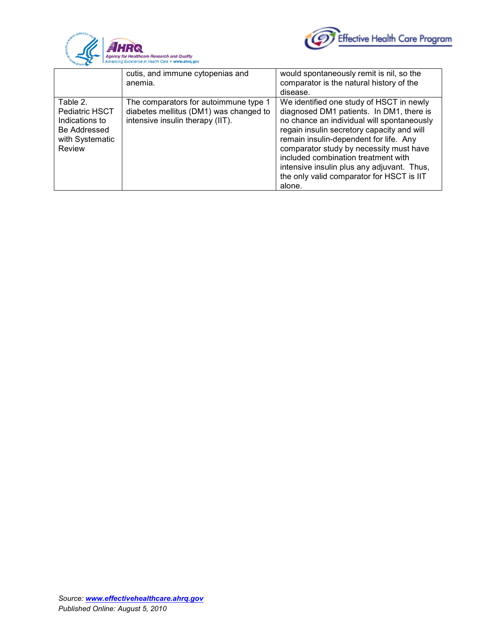



|                                                                                           | cutis, and immune cytopenias and<br>anemia.                                                                         | would spontaneously remit is nil, so the<br>comparator is the natural history of the<br>disease.                                                                                                                                                                                                                                                                                                                  |
|-------------------------------------------------------------------------------------------|---------------------------------------------------------------------------------------------------------------------|-------------------------------------------------------------------------------------------------------------------------------------------------------------------------------------------------------------------------------------------------------------------------------------------------------------------------------------------------------------------------------------------------------------------|
| Table 2.<br>Pediatric HSCT<br>Indications to<br>Be Addressed<br>with Systematic<br>Review | The comparators for autoimmune type 1<br>diabetes mellitus (DM1) was changed to<br>intensive insulin therapy (IIT). | We identified one study of HSCT in newly<br>diagnosed DM1 patients. In DM1, there is<br>no chance an individual will spontaneously<br>regain insulin secretory capacity and will<br>remain insulin-dependent for life. Any<br>comparator study by necessity must have<br>included combination treatment with<br>intensive insulin plus any adjuvant. Thus,<br>the only valid comparator for HSCT is IIT<br>alone. |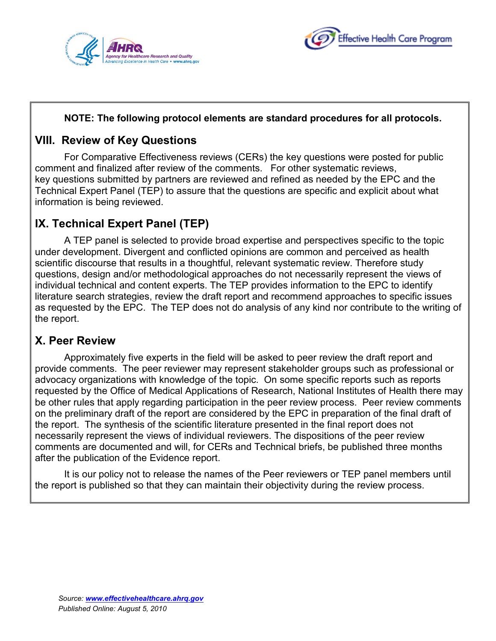



### **NOTE: The following protocol elements are standard procedures for all protocols.**

## **VIII. Review of Key Questions**

For Comparative Effectiveness reviews (CERs) the key questions were posted for public comment and finalized after review of the comments. For other systematic reviews, key questions submitted by partners are reviewed and refined as needed by the EPC and the Technical Expert Panel (TEP) to assure that the questions are specific and explicit about what information is being reviewed.

## **IX. Technical Expert Panel (TEP)**

A TEP panel is selected to provide broad expertise and perspectives specific to the topic under development. Divergent and conflicted opinions are common and perceived as health scientific discourse that results in a thoughtful, relevant systematic review. Therefore study questions, design and/or methodological approaches do not necessarily represent the views of individual technical and content experts. The TEP provides information to the EPC to identify literature search strategies, review the draft report and recommend approaches to specific issues as requested by the EPC. The TEP does not do analysis of any kind nor contribute to the writing of the report.

## **X. Peer Review**

Approximately five experts in the field will be asked to peer review the draft report and provide comments. The peer reviewer may represent stakeholder groups such as professional or advocacy organizations with knowledge of the topic. On some specific reports such as reports requested by the Office of Medical Applications of Research, National Institutes of Health there may be other rules that apply regarding participation in the peer review process. Peer review comments on the preliminary draft of the report are considered by the EPC in preparation of the final draft of the report. The synthesis of the scientific literature presented in the final report does not necessarily represent the views of individual reviewers. The dispositions of the peer review comments are documented and will, for CERs and Technical briefs, be published three months after the publication of the Evidence report.

It is our policy not to release the names of the Peer reviewers or TEP panel members until the report is published so that they can maintain their objectivity during the review process.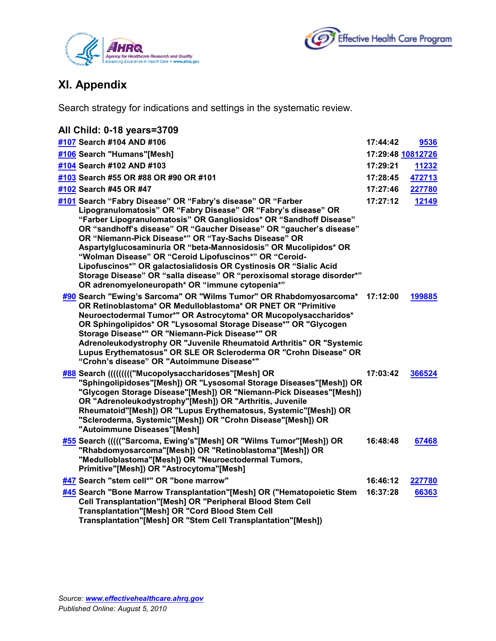



# **XI. Appendix**

Search strategy for indications and settings in the systematic review.

| All Child: 0-18 years=3709                                                                                                                                                                                                                                                                                                                                                                                                                                                                                                                                                                                                                                         |          |                   |
|--------------------------------------------------------------------------------------------------------------------------------------------------------------------------------------------------------------------------------------------------------------------------------------------------------------------------------------------------------------------------------------------------------------------------------------------------------------------------------------------------------------------------------------------------------------------------------------------------------------------------------------------------------------------|----------|-------------------|
| #107 Search #104 AND #106                                                                                                                                                                                                                                                                                                                                                                                                                                                                                                                                                                                                                                          | 17:44:42 | 9536              |
| #106 Search "Humans"[Mesh]                                                                                                                                                                                                                                                                                                                                                                                                                                                                                                                                                                                                                                         |          | 17:29:48 10812726 |
| #104 Search #102 AND #103                                                                                                                                                                                                                                                                                                                                                                                                                                                                                                                                                                                                                                          | 17:29:21 | 11232             |
| #103 Search #55 OR #88 OR #90 OR #101                                                                                                                                                                                                                                                                                                                                                                                                                                                                                                                                                                                                                              | 17:28:45 | 472713            |
| #102 Search #45 OR #47                                                                                                                                                                                                                                                                                                                                                                                                                                                                                                                                                                                                                                             | 17:27:46 | 227780            |
| #101 Search "Fabry Disease" OR "Fabry's disease" OR "Farber<br>Lipogranulomatosis" OR "Fabry Disease" OR "Fabry's disease" OR<br>"Farber Lipogranulomatosis" OR Gangliosidos* OR "Sandhoff Disease"<br>OR "sandhoff's disease" OR "Gaucher Disease" OR "gaucher's disease"<br>OR "Niemann-Pick Disease*" OR "Tay-Sachs Disease" OR<br>Aspartylglucosaminuria OR "beta-Mannosidosis" OR Mucolipidos* OR<br>"Wolman Disease" OR "Ceroid Lipofuscinos*" OR "Ceroid-<br>Lipofuscinos*" OR galactosialidosis OR Cystinosis OR "Sialic Acid<br>Storage Disease" OR "salla disease" OR "peroxisomal storage disorder*"<br>OR adrenomyeloneuropath* OR "immune cytopenia*" | 17:27:12 | 12149             |
| #90 Search "Ewing's Sarcoma" OR "Wilms Tumor" OR Rhabdomyosarcoma* 17:12:00<br>OR Retinoblastoma* OR Medulloblastoma* OR PNET OR "Primitive<br>Neuroectodermal Tumor*" OR Astrocytoma* OR Mucopolysaccharidos*<br>OR Sphingolipidos* OR "Lysosomal Storage Disease*" OR "Glycogen<br>Storage Disease*" OR "Niemann-Pick Disease*" OR<br>Adrenoleukodystrophy OR "Juvenile Rheumatoid Arthritis" OR "Systemic<br>Lupus Erythematosus" OR SLE OR Scleroderma OR "Crohn Disease" OR<br>"Crohn's disease" OR "Autoimmune Disease*"                                                                                                                                     |          | 199885            |
| #88 Search ((((((((("Mucopolysaccharidoses"[Mesh] OR<br>"Sphingolipidoses"[Mesh]) OR "Lysosomal Storage Diseases"[Mesh]) OR<br>"Glycogen Storage Disease"[Mesh]) OR "Niemann-Pick Diseases"[Mesh])<br>OR "Adrenoleukodystrophy"[Mesh]) OR "Arthritis, Juvenile<br>Rheumatoid"[Mesh]) OR "Lupus Erythematosus, Systemic"[Mesh]) OR<br>"Scleroderma, Systemic"[Mesh]) OR "Crohn Disease"[Mesh]) OR<br>"Autoimmune Diseases"[Mesh]                                                                                                                                                                                                                                    | 17:03:42 | 366524            |
| #55 Search ((((("Sarcoma, Ewing's"[Mesh] OR "Wilms Tumor"[Mesh]) OR<br>"Rhabdomyosarcoma"[Mesh]) OR "Retinoblastoma"[Mesh]) OR<br>"Medulloblastoma"[Mesh]) OR "Neuroectodermal Tumors,<br>Primitive"[Mesh]) OR "Astrocytoma"[Mesh]                                                                                                                                                                                                                                                                                                                                                                                                                                 | 16:48:48 | 67468             |
| #47 Search "stem cell*" OR "bone marrow"                                                                                                                                                                                                                                                                                                                                                                                                                                                                                                                                                                                                                           | 16:46:12 | 227780            |
| #45 Search "Bone Marrow Transplantation"[Mesh] OR ("Hematopoietic Stem<br>Cell Transplantation"[Mesh] OR "Peripheral Blood Stem Cell<br><b>Transplantation"[Mesh] OR "Cord Blood Stem Cell</b><br>Transplantation"[Mesh] OR "Stem Cell Transplantation"[Mesh])                                                                                                                                                                                                                                                                                                                                                                                                     | 16:37:28 | 66363             |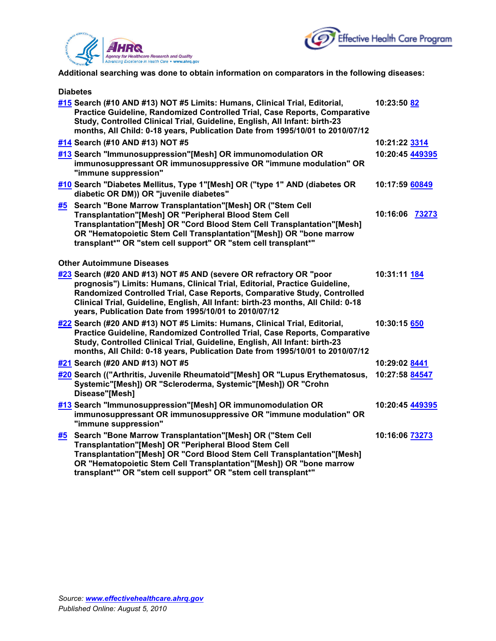



**Additional searching was done to obtain information on comparators in the following diseases:**

|           | <b>Diabetes</b>                                                                                                                                                                                                                                                                                                                                                           |                 |
|-----------|---------------------------------------------------------------------------------------------------------------------------------------------------------------------------------------------------------------------------------------------------------------------------------------------------------------------------------------------------------------------------|-----------------|
|           | #15 Search (#10 AND #13) NOT #5 Limits: Humans, Clinical Trial, Editorial,<br>Practice Guideline, Randomized Controlled Trial, Case Reports, Comparative<br>Study, Controlled Clinical Trial, Guideline, English, All Infant: birth-23<br>months, All Child: 0-18 years, Publication Date from 1995/10/01 to 2010/07/12                                                   | 10:23:50 82     |
|           | #14 Search (#10 AND #13) NOT #5                                                                                                                                                                                                                                                                                                                                           | 10:21:22 3314   |
|           | #13 Search "Immunosuppression"[Mesh] OR immunomodulation OR<br>immunosuppressant OR immunosuppressive OR "immune modulation" OR<br>"immune suppression"                                                                                                                                                                                                                   | 10:20:45 449395 |
|           | #10 Search "Diabetes Mellitus, Type 1"[Mesh] OR ("type 1" AND (diabetes OR<br>diabetic OR DM)) OR "juvenile diabetes"                                                                                                                                                                                                                                                     | 10:17:59 60849  |
| <u>#5</u> | Search "Bone Marrow Transplantation"[Mesh] OR ("Stem Cell<br>Transplantation"[Mesh] OR "Peripheral Blood Stem Cell<br>Transplantation"[Mesh] OR "Cord Blood Stem Cell Transplantation"[Mesh]<br>OR "Hematopoietic Stem Cell Transplantation"[Mesh]) OR "bone marrow<br>transplant*" OR "stem cell support" OR "stem cell transplant*"                                     | 10:16:06 73273  |
|           | <b>Other Autoimmune Diseases</b>                                                                                                                                                                                                                                                                                                                                          |                 |
|           | #23 Search (#20 AND #13) NOT #5 AND (severe OR refractory OR "poor<br>prognosis") Limits: Humans, Clinical Trial, Editorial, Practice Guideline,<br>Randomized Controlled Trial, Case Reports, Comparative Study, Controlled<br>Clinical Trial, Guideline, English, All Infant: birth-23 months, All Child: 0-18<br>years, Publication Date from 1995/10/01 to 2010/07/12 | 10:31:11 184    |
|           | #22 Search (#20 AND #13) NOT #5 Limits: Humans, Clinical Trial, Editorial,<br>Practice Guideline, Randomized Controlled Trial, Case Reports, Comparative<br>Study, Controlled Clinical Trial, Guideline, English, All Infant: birth-23<br>months, All Child: 0-18 years, Publication Date from 1995/10/01 to 2010/07/12                                                   | 10:30:15 650    |
|           | #21 Search (#20 AND #13) NOT #5                                                                                                                                                                                                                                                                                                                                           | 10:29:02 8441   |
|           | #20 Search (("Arthritis, Juvenile Rheumatoid"[Mesh] OR "Lupus Erythematosus,<br>Systemic"[Mesh]) OR "Scleroderma, Systemic"[Mesh]) OR "Crohn<br>Disease"[Mesh]                                                                                                                                                                                                            | 10:27:58 84547  |
|           | #13 Search "Immunosuppression"[Mesh] OR immunomodulation OR<br>immunosuppressant OR immunosuppressive OR "immune modulation" OR<br>"immune suppression"                                                                                                                                                                                                                   | 10:20:45 449395 |
| #5        | Search "Bone Marrow Transplantation"[Mesh] OR ("Stem Cell<br>Transplantation"[Mesh] OR "Peripheral Blood Stem Cell<br>Transplantation"[Mesh] OR "Cord Blood Stem Cell Transplantation"[Mesh]<br>OR "Hematopoietic Stem Cell Transplantation"[Mesh]) OR "bone marrow<br>transplant*" OR "stem cell support" OR "stem cell transplant*"                                     | 10:16:06 73273  |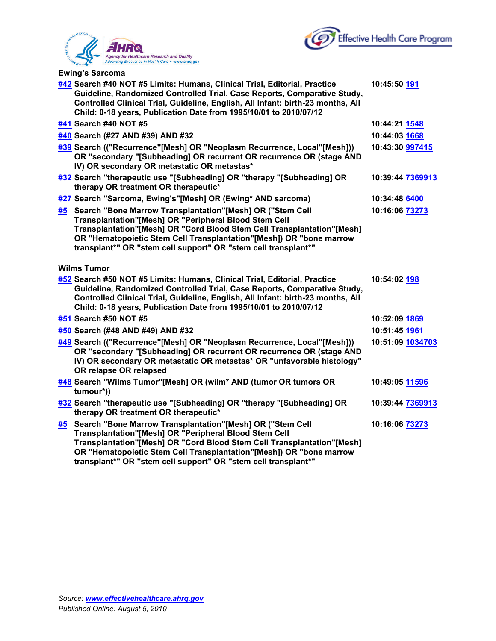



**Ewing's Sarcoma**

|    | #42 Search #40 NOT #5 Limits: Humans, Clinical Trial, Editorial, Practice<br>Guideline, Randomized Controlled Trial, Case Reports, Comparative Study,<br>Controlled Clinical Trial, Guideline, English, All Infant: birth-23 months, All<br>Child: 0-18 years, Publication Date from 1995/10/01 to 2010/07/12                            | 10:45:50 191         |
|----|------------------------------------------------------------------------------------------------------------------------------------------------------------------------------------------------------------------------------------------------------------------------------------------------------------------------------------------|----------------------|
|    | #41 Search #40 NOT #5                                                                                                                                                                                                                                                                                                                    | 10:44:21 <b>1548</b> |
|    | #40 Search (#27 AND #39) AND #32                                                                                                                                                                                                                                                                                                         | 10:44:03 1668        |
|    | #39 Search (("Recurrence"[Mesh] OR "Neoplasm Recurrence, Local"[Mesh]))<br>OR "secondary "[Subheading] OR recurrent OR recurrence OR (stage AND<br>IV) OR secondary OR metastatic OR metastas*                                                                                                                                           | 10:43:30 997415      |
|    | #32 Search "therapeutic use "[Subheading] OR "therapy "[Subheading] OR<br>therapy OR treatment OR therapeutic*                                                                                                                                                                                                                           | 10:39:44 7369913     |
|    | #27 Search "Sarcoma, Ewing's"[Mesh] OR (Ewing* AND sarcoma)                                                                                                                                                                                                                                                                              | 10:34:48 6400        |
|    | #5 Search "Bone Marrow Transplantation"[Mesh] OR ("Stem Cell<br>Transplantation"[Mesh] OR "Peripheral Blood Stem Cell<br>Transplantation"[Mesh] OR "Cord Blood Stem Cell Transplantation"[Mesh]<br>OR "Hematopoietic Stem Cell Transplantation"[Mesh]) OR "bone marrow<br>transplant*" OR "stem cell support" OR "stem cell transplant*" | 10:16:06 73273       |
|    | <b>Wilms Tumor</b>                                                                                                                                                                                                                                                                                                                       |                      |
|    | #52 Search #50 NOT #5 Limits: Humans, Clinical Trial, Editorial, Practice<br>Guideline, Randomized Controlled Trial, Case Reports, Comparative Study,<br>Controlled Clinical Trial, Guideline, English, All Infant: birth-23 months, All<br>Child: 0-18 years, Publication Date from 1995/10/01 to 2010/07/12                            | 10:54:02 198         |
|    | #51 Search #50 NOT #5                                                                                                                                                                                                                                                                                                                    | 10:52:09 1869        |
|    | #50 Search (#48 AND #49) AND #32                                                                                                                                                                                                                                                                                                         | 10:51:45 1961        |
|    | #49 Search (("Recurrence"[Mesh] OR "Neoplasm Recurrence, Local"[Mesh]))<br>OR "secondary "[Subheading] OR recurrent OR recurrence OR (stage AND<br>IV) OR secondary OR metastatic OR metastas* OR "unfavorable histology"<br>OR relapse OR relapsed                                                                                      | 10:51:09 1034703     |
|    | #48 Search "Wilms Tumor"[Mesh] OR (wilm* AND (tumor OR tumors OR<br>tumour*))                                                                                                                                                                                                                                                            | 10:49:05 11596       |
|    | #32 Search "therapeutic use "[Subheading] OR "therapy "[Subheading] OR<br>therapy OR treatment OR therapeutic*                                                                                                                                                                                                                           | 10:39:44 7369913     |
| #5 | Search "Bone Marrow Transplantation"[Mesh] OR ("Stem Cell<br>Transplantation"[Mesh] OR "Peripheral Blood Stem Cell<br>Transplantation"[Mesh] OR "Cord Blood Stem Cell Transplantation"[Mesh]<br>OR "Hematopoietic Stem Cell Transplantation"[Mesh]) OR "bone marrow<br>transplant*" OR "stem cell support" OR "stem cell transplant*"    | 10:16:06 73273       |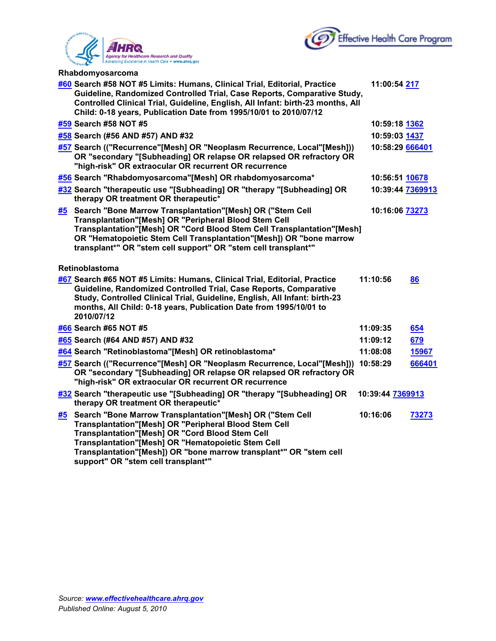



| Rhabdomyosarcoma |  |
|------------------|--|
|------------------|--|

|    | #60 Search #58 NOT #5 Limits: Humans, Clinical Trial, Editorial, Practice<br>Guideline, Randomized Controlled Trial, Case Reports, Comparative Study,<br>Controlled Clinical Trial, Guideline, English, All Infant: birth-23 months, All<br>Child: 0-18 years, Publication Date from 1995/10/01 to 2010/07/12                                   | 11:00:54 217     |        |
|----|-------------------------------------------------------------------------------------------------------------------------------------------------------------------------------------------------------------------------------------------------------------------------------------------------------------------------------------------------|------------------|--------|
|    | #59 Search #58 NOT #5                                                                                                                                                                                                                                                                                                                           | 10:59:18 1362    |        |
|    | #58 Search (#56 AND #57) AND #32                                                                                                                                                                                                                                                                                                                | 10:59:03 1437    |        |
|    | #57 Search (("Recurrence"[Mesh] OR "Neoplasm Recurrence, Local"[Mesh]))<br>OR "secondary "[Subheading] OR relapse OR relapsed OR refractory OR<br>"high-risk" OR extraocular OR recurrent OR recurrence                                                                                                                                         | 10:58:29 666401  |        |
|    | #56 Search "Rhabdomyosarcoma"[Mesh] OR rhabdomyosarcoma*                                                                                                                                                                                                                                                                                        | 10:56:51 10678   |        |
|    | #32 Search "therapeutic use "[Subheading] OR "therapy "[Subheading] OR<br>therapy OR treatment OR therapeutic*                                                                                                                                                                                                                                  | 10:39:44 7369913 |        |
| #5 | Search "Bone Marrow Transplantation"[Mesh] OR ("Stem Cell<br>Transplantation"[Mesh] OR "Peripheral Blood Stem Cell<br>Transplantation"[Mesh] OR "Cord Blood Stem Cell Transplantation"[Mesh]<br>OR "Hematopoietic Stem Cell Transplantation"[Mesh]) OR "bone marrow<br>transplant*" OR "stem cell support" OR "stem cell transplant*"           | 10:16:06 73273   |        |
|    | Retinoblastoma                                                                                                                                                                                                                                                                                                                                  |                  |        |
|    | #67 Search #65 NOT #5 Limits: Humans, Clinical Trial, Editorial, Practice<br>Guideline, Randomized Controlled Trial, Case Reports, Comparative<br>Study, Controlled Clinical Trial, Guideline, English, All Infant: birth-23<br>months, All Child: 0-18 years, Publication Date from 1995/10/01 to<br>2010/07/12                                | 11:10:56         | 86     |
|    | #66 Search #65 NOT #5                                                                                                                                                                                                                                                                                                                           | 11:09:35         | 654    |
|    | #65 Search (#64 AND #57) AND #32                                                                                                                                                                                                                                                                                                                | 11:09:12         | 679    |
|    | #64 Search "Retinoblastoma"[Mesh] OR retinoblastoma*                                                                                                                                                                                                                                                                                            | 11:08:08         | 15967  |
|    | #57 Search (("Recurrence"[Mesh] OR "Neoplasm Recurrence, Local"[Mesh]))<br>OR "secondary "[Subheading] OR relapse OR relapsed OR refractory OR<br>"high-risk" OR extraocular OR recurrent OR recurrence                                                                                                                                         | 10:58:29         | 666401 |
|    | #32 Search "therapeutic use "[Subheading] OR "therapy "[Subheading] OR<br>therapy OR treatment OR therapeutic*                                                                                                                                                                                                                                  | 10:39:44 7369913 |        |
| #5 | Search "Bone Marrow Transplantation"[Mesh] OR ("Stem Cell<br>Transplantation"[Mesh] OR "Peripheral Blood Stem Cell<br><b>Transplantation"[Mesh] OR "Cord Blood Stem Cell</b><br>Transplantation"[Mesh] OR "Hematopoietic Stem Cell<br>Transplantation"[Mesh]) OR "bone marrow transplant*" OR "stem cell<br>support" OR "stem cell transplant*" | 10:16:06         | 73273  |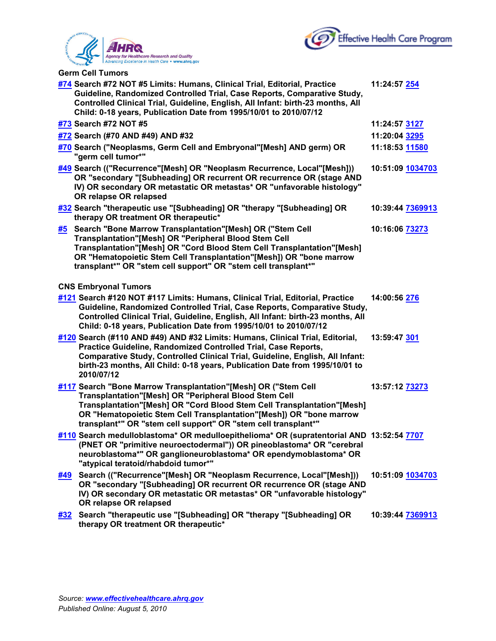



**Germ Cell Tumors**

|             | #74 Search #72 NOT #5 Limits: Humans, Clinical Trial, Editorial, Practice<br>Guideline, Randomized Controlled Trial, Case Reports, Comparative Study,<br>Controlled Clinical Trial, Guideline, English, All Infant: birth-23 months, All<br>Child: 0-18 years, Publication Date from 1995/10/01 to 2010/07/12                              | 11:24:57 254     |
|-------------|--------------------------------------------------------------------------------------------------------------------------------------------------------------------------------------------------------------------------------------------------------------------------------------------------------------------------------------------|------------------|
|             | #73 Search #72 NOT #5                                                                                                                                                                                                                                                                                                                      | 11:24:57 3127    |
|             | #72 Search (#70 AND #49) AND #32                                                                                                                                                                                                                                                                                                           | 11:20:04 3295    |
|             | #70 Search ("Neoplasms, Germ Cell and Embryonal"[Mesh] AND germ) OR<br>"germ cell tumor*"                                                                                                                                                                                                                                                  | 11:18:53 11580   |
|             | #49 Search (("Recurrence"[Mesh] OR "Neoplasm Recurrence, Local"[Mesh]))<br>OR "secondary "[Subheading] OR recurrent OR recurrence OR (stage AND<br>IV) OR secondary OR metastatic OR metastas* OR "unfavorable histology"<br>OR relapse OR relapsed                                                                                        | 10:51:09 1034703 |
|             | #32 Search "therapeutic use "[Subheading] OR "therapy "[Subheading] OR<br>therapy OR treatment OR therapeutic*                                                                                                                                                                                                                             | 10:39:44 7369913 |
| <u>#5</u>   | Search "Bone Marrow Transplantation"[Mesh] OR ("Stem Cell<br>Transplantation"[Mesh] OR "Peripheral Blood Stem Cell<br>Transplantation"[Mesh] OR "Cord Blood Stem Cell Transplantation"[Mesh]<br>OR "Hematopoietic Stem Cell Transplantation"[Mesh]) OR "bone marrow<br>transplant*" OR "stem cell support" OR "stem cell transplant*"      | 10:16:06 73273   |
|             | <b>CNS Embryonal Tumors</b>                                                                                                                                                                                                                                                                                                                |                  |
|             | #121 Search #120 NOT #117 Limits: Humans, Clinical Trial, Editorial, Practice<br>Guideline, Randomized Controlled Trial, Case Reports, Comparative Study,<br>Controlled Clinical Trial, Guideline, English, All Infant: birth-23 months, All<br>Child: 0-18 years, Publication Date from 1995/10/01 to 2010/07/12                          | 14:00:56 276     |
|             | #120 Search (#110 AND #49) AND #32 Limits: Humans, Clinical Trial, Editorial,<br>Practice Guideline, Randomized Controlled Trial, Case Reports,<br>Comparative Study, Controlled Clinical Trial, Guideline, English, All Infant:<br>birth-23 months, All Child: 0-18 years, Publication Date from 1995/10/01 to<br>2010/07/12              | 13:59:47 301     |
|             | #117 Search "Bone Marrow Transplantation"[Mesh] OR ("Stem Cell<br>Transplantation"[Mesh] OR "Peripheral Blood Stem Cell<br>Transplantation"[Mesh] OR "Cord Blood Stem Cell Transplantation"[Mesh]<br>OR "Hematopoietic Stem Cell Transplantation"[Mesh]) OR "bone marrow<br>transplant*" OR "stem cell support" OR "stem cell transplant*" | 13:57:12 73273   |
|             | #110 Search medulloblastoma* OR medulloepithelioma* OR (supratentorial AND 13:52:54 7707<br>(PNET OR "primitive neuroectodermal")) OR pineoblastoma* OR "cerebral<br>neuroblastoma*" OR ganglioneuroblastoma* OR ependymoblastoma* OR<br>"atypical teratoid/rhabdoid tumor*"                                                               |                  |
| #49         | Search (("Recurrence"[Mesh] OR "Neoplasm Recurrence, Local"[Mesh]))<br>OR "secondary "[Subheading] OR recurrent OR recurrence OR (stage AND<br>IV) OR secondary OR metastatic OR metastas* OR "unfavorable histology"<br>OR relapse OR relapsed                                                                                            | 10:51:09 1034703 |
| <u> #32</u> | Search "therapeutic use "[Subheading] OR "therapy "[Subheading] OR<br>therapy OR treatment OR therapeutic*                                                                                                                                                                                                                                 | 10:39:44 7369913 |